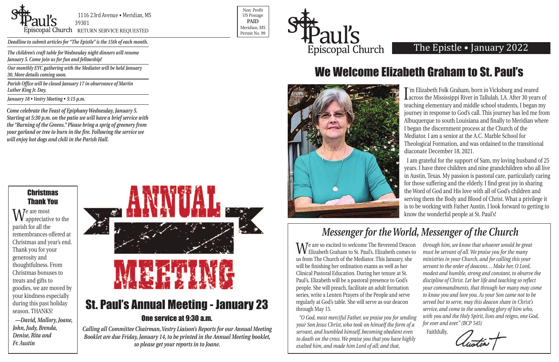

Non Profit US Postage **PAID** Meridian, MS



*Deadline to submit articles for "The Epistle" is the 15th of each month.* 

### The Epistle • January 2022

We are so excited to welcome The Reverend Deacon Elizabeth Graham to St. Paul's. Elizabeth comes to us from The Church of the Mediator. This January, she will be finishing her ordination exams as well as her Clinical Pastoral Education. During her tenure at St. Paul's, Elizabeth will be a pastoral presence to God's people. She will preach, facilitate an adult formation series, write a Lenten Prayers of the People and serve regularly at God's table. She will serve as our deacon through May 15. *"O God, most merciful Father, we praise you for sending your Son Jesus Christ, who took on himself the form of a through him, we know that whoever would be great must be servant of all. We praise you for the many ministries in your Church, and for calling this your servant to the order of deacons… Make her, O Lord, modest and humble, strong and constant, to observe the discipline of Christ. Let her life and teaching so reflect your commandments, that through her many may come to know you and love you. As your Son came not to be served but to serve, may this deacon share in Christ's service, and come to the unending glory of him who, with you and the Holy Spirit, lives and reigns, one God, for ever and ever." (BCP 545)*

Im Elizabeth Folk Graham, born in Vicksburg and reared<br>Lacross the Mississippi River in Tallulah, LA. After 30 years of 'm Elizabeth Folk Graham, born in Vicksburg and reared teaching elementary and middle school students, I began my journey in response to God's call. This journey has led me from Albuquerque to south Louisiana and finally to Meridian where I began the discernment process at the Church of the Mediator. I am a senior at the A.C. Marble School for Theological Formation, and was ordained to the transitional diaconate December 18, 2021.

*servant, and humbled himself, becoming obedient even to death on the cross. We praise you that you have highly exalted him, and made him Lord of all; and that,* Faithfully,



### **Christmas** Thank You

# One service at 9:30 a.m.

*Calling all Committee Chairman, Vestry Liaison's Reports for our Annual Meeting Booklet are due Friday, January 14, to be printed in the Annual Meeting booklet, so please get your reports in to Joane.*

We are most<br> **W** appreciative to the parish for all the remembrances offered at Christmas and year's end. Thank you for your generosity and thoughtfulness. From Christmas bonuses to treats and gifts to goodies, we are moved by your kindness especially during this past holiday season. THANKS!

I am grateful for the support of Sam, my loving husband of 25 years. I have three children and nine grandchildren who all live in Austin, Texas. My passion is pastoral care, particularly caring for those suffering and the elderly. I find great joy in sharing the Word of God and His love with all of God's children and serving them the Body and Blood of Christ. What a privilege it is to be working with Father Austin. I look forward to getting to know the wonderful people at St. Paul's!

*The children's craft table for Wednesday night dinners will resume January 5. Come join us for fun and fellowship!* 

*Our monthly EYC gathering with the Mediator will be held January 30. More details coming soon.* 

*Parish Office will be closed January 17 in observance of Martin Luther King Jr. Day.*

*January 18 • Vestry Meeting • 5:15 p.m.*

## We Welcome Elizabeth Graham to St. Paul's



## *Messenger for the World, Messenger of the Church*

*—David, Mallory, Joane, John, Judy, Brenda, Denise, Rita and Fr. Austin*

*Come celebrate the Feast of Epiphany Wednesday, January 5. Starting at 5:30 p.m. on the patio we will have a brief service with the "Burning of the Greens." Please bring a sprig of greenery from your garland or tree to burn in the fire. Following the service we will enjoy hot dogs and chili in the Parish Hall.*